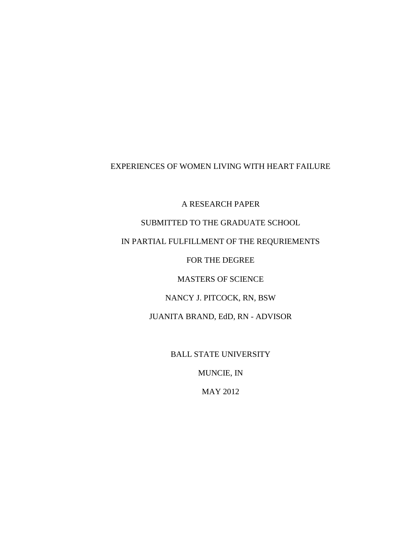# EXPERIENCES OF WOMEN LIVING WITH HEART FAILURE

A RESEARCH PAPER

# SUBMITTED TO THE GRADUATE SCHOOL

# IN PARTIAL FULFILLMENT OF THE REQURIEMENTS

FOR THE DEGREE

MASTERS OF SCIENCE

NANCY J. PITCOCK, RN, BSW

JUANITA BRAND, EdD, RN - ADVISOR

BALL STATE UNIVERSITY

MUNCIE, IN

MAY 2012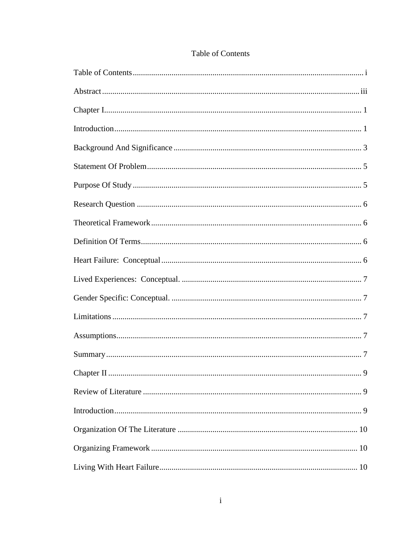<span id="page-1-0"></span>

| . 9 |
|-----|
|     |
|     |
|     |
|     |
|     |

# **Table of Contents**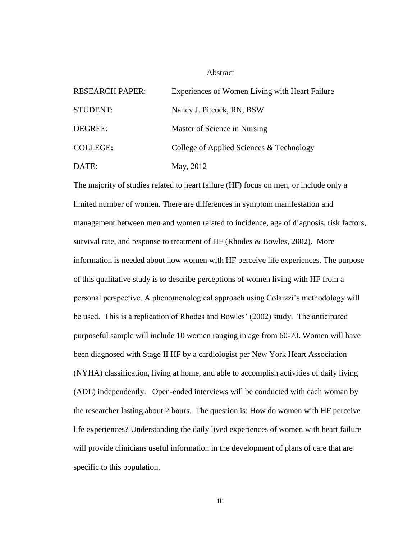#### Abstract

<span id="page-3-0"></span>

| <b>RESEARCH PAPER:</b> | Experiences of Women Living with Heart Failure |
|------------------------|------------------------------------------------|
| <b>STUDENT:</b>        | Nancy J. Pitcock, RN, BSW                      |
| DEGREE:                | Master of Science in Nursing                   |
| <b>COLLEGE:</b>        | College of Applied Sciences & Technology       |
| DATE:                  | May, 2012                                      |

The majority of studies related to heart failure (HF) focus on men, or include only a limited number of women. There are differences in symptom manifestation and management between men and women related to incidence, age of diagnosis, risk factors, survival rate, and response to treatment of HF (Rhodes & Bowles, 2002). More information is needed about how women with HF perceive life experiences. The purpose of this qualitative study is to describe perceptions of women living with HF from a personal perspective. A phenomenological approach using Colaizzi's methodology will be used. This is a replication of Rhodes and Bowles' (2002) study. The anticipated purposeful sample will include 10 women ranging in age from 60-70. Women will have been diagnosed with Stage II HF by a cardiologist per New York Heart Association (NYHA) classification, living at home, and able to accomplish activities of daily living (ADL) independently. Open-ended interviews will be conducted with each woman by the researcher lasting about 2 hours. The question is: How do women with HF perceive life experiences? Understanding the daily lived experiences of women with heart failure will provide clinicians useful information in the development of plans of care that are specific to this population.

iii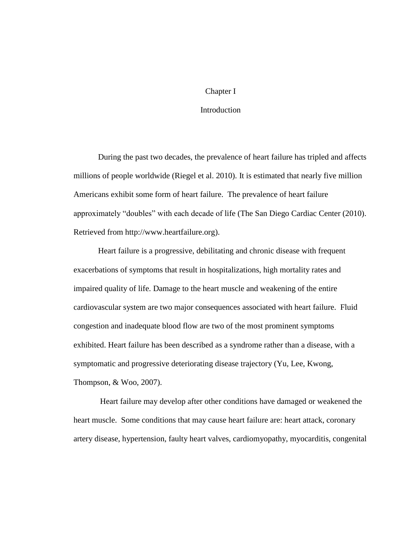## Chapter I

# **Introduction**

<span id="page-4-1"></span><span id="page-4-0"></span>During the past two decades, the prevalence of heart failure has tripled and affects millions of people worldwide (Riegel et al. 2010). It is estimated that nearly five million Americans exhibit some form of heart failure. The prevalence of heart failure approximately "doubles" with each decade of life (The San Diego Cardiac Center (2010). Retrieved from http://www.heartfailure.org).

Heart failure is a progressive, debilitating and chronic disease with frequent exacerbations of symptoms that result in hospitalizations, high mortality rates and impaired quality of life. Damage to the heart muscle and weakening of the entire cardiovascular system are two major consequences associated with heart failure. Fluid congestion and inadequate blood flow are two of the most prominent symptoms exhibited. Heart failure has been described as a syndrome rather than a disease, with a symptomatic and progressive deteriorating disease trajectory (Yu, Lee, Kwong, Thompson, & Woo, 2007).

Heart failure may develop after other conditions have damaged or weakened the heart muscle. Some conditions that may cause heart failure are: heart attack, coronary artery disease, hypertension, faulty heart valves, cardiomyopathy, myocarditis, congenital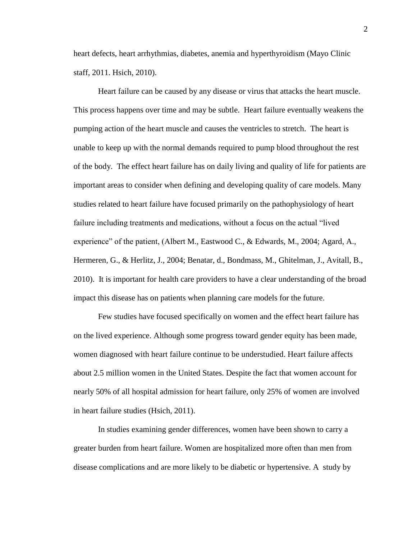heart defects, heart arrhythmias, diabetes, anemia and hyperthyroidism (Mayo Clinic staff, 2011. Hsich, 2010).

Heart failure can be caused by any disease or virus that attacks the heart muscle. This process happens over time and may be subtle. Heart failure eventually weakens the pumping action of the heart muscle and causes the ventricles to stretch. The heart is unable to keep up with the normal demands required to pump blood throughout the rest of the body. The effect heart failure has on daily living and quality of life for patients are important areas to consider when defining and developing quality of care models. Many studies related to heart failure have focused primarily on the pathophysiology of heart failure including treatments and medications, without a focus on the actual "lived experience" of the patient, (Albert M., Eastwood C., & Edwards, M., 2004; Agard, A., Hermeren, G., & Herlitz, J., 2004; Benatar, d., Bondmass, M., Ghitelman, J., Avitall, B., 2010). It is important for health care providers to have a clear understanding of the broad impact this disease has on patients when planning care models for the future.

Few studies have focused specifically on women and the effect heart failure has on the lived experience. Although some progress toward gender equity has been made, women diagnosed with heart failure continue to be understudied. Heart failure affects about 2.5 million women in the United States. Despite the fact that women account for nearly 50% of all hospital admission for heart failure, only 25% of women are involved in heart failure studies (Hsich, 2011).

In studies examining gender differences, women have been shown to carry a greater burden from heart failure. Women are hospitalized more often than men from disease complications and are more likely to be diabetic or hypertensive. A study by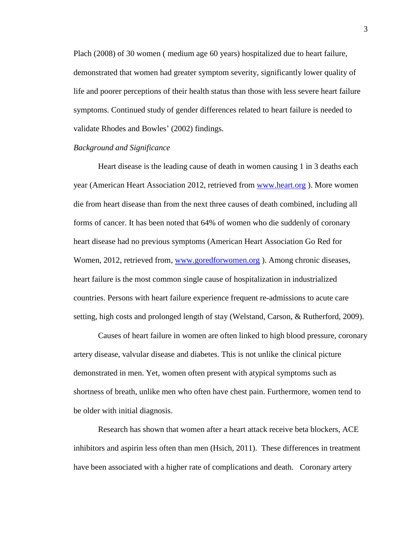Plach (2008) of 30 women ( medium age 60 years) hospitalized due to heart failure, demonstrated that women had greater symptom severity, significantly lower quality of life and poorer perceptions of their health status than those with less severe heart failure symptoms. Continued study of gender differences related to heart failure is needed to validate Rhodes and Bowles' (2002) findings.

#### <span id="page-6-0"></span>*Background and Significance*

Heart disease is the leading cause of death in women causing 1 in 3 deaths each year (American Heart Association 2012, retrieved from [www.heart.org](http://www.heart.org/) ). More women die from heart disease than from the next three causes of death combined, including all forms of cancer. It has been noted that 64% of women who die suddenly of coronary heart disease had no previous symptoms (American Heart Association Go Red for Women, 2012, retrieved from, [www.goredforwomen.org](http://www.goredforwomen.org/) ). Among chronic diseases, heart failure is the most common single cause of hospitalization in industrialized countries. Persons with heart failure experience frequent re-admissions to acute care setting, high costs and prolonged length of stay (Welstand, Carson, & Rutherford, 2009).

Causes of heart failure in women are often linked to high blood pressure, coronary artery disease, valvular disease and diabetes. This is not unlike the clinical picture demonstrated in men. Yet, women often present with atypical symptoms such as shortness of breath, unlike men who often have chest pain. Furthermore, women tend to be older with initial diagnosis.

Research has shown that women after a heart attack receive beta blockers, ACE inhibitors and aspirin less often than men (Hsich, 2011). These differences in treatment have been associated with a higher rate of complications and death. Coronary artery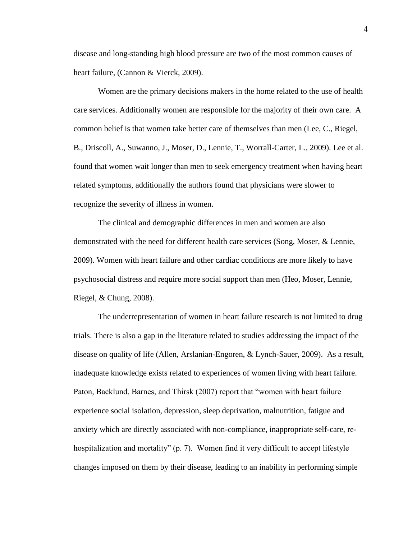disease and long-standing high blood pressure are two of the most common causes of heart failure, (Cannon & Vierck, 2009).

Women are the primary decisions makers in the home related to the use of health care services. Additionally women are responsible for the majority of their own care. A common belief is that women take better care of themselves than men (Lee, C., Riegel, B., Driscoll, A., Suwanno, J., Moser, D., Lennie, T., Worrall-Carter, L., 2009). Lee et al. found that women wait longer than men to seek emergency treatment when having heart related symptoms, additionally the authors found that physicians were slower to recognize the severity of illness in women.

The clinical and demographic differences in men and women are also demonstrated with the need for different health care services (Song, Moser, & Lennie, 2009). Women with heart failure and other cardiac conditions are more likely to have psychosocial distress and require more social support than men (Heo, Moser, Lennie, Riegel, & Chung, 2008).

The underrepresentation of women in heart failure research is not limited to drug trials. There is also a gap in the literature related to studies addressing the impact of the disease on quality of life (Allen, Arslanian-Engoren, & Lynch-Sauer, 2009). As a result, inadequate knowledge exists related to experiences of women living with heart failure. Paton, Backlund, Barnes, and Thirsk (2007) report that "women with heart failure experience social isolation, depression, sleep deprivation, malnutrition, fatigue and anxiety which are directly associated with non-compliance, inappropriate self-care, rehospitalization and mortality" (p. 7). Women find it very difficult to accept lifestyle changes imposed on them by their disease, leading to an inability in performing simple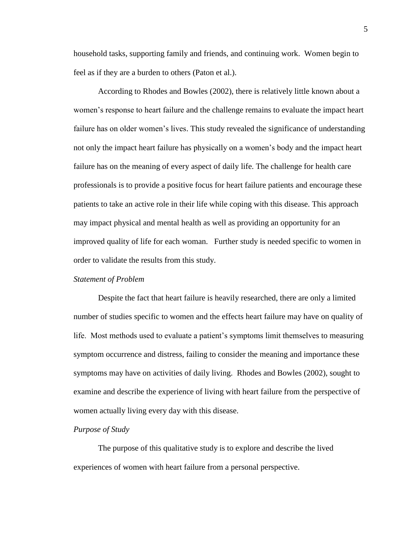household tasks, supporting family and friends, and continuing work. Women begin to feel as if they are a burden to others (Paton et al.).

According to Rhodes and Bowles (2002), there is relatively little known about a women's response to heart failure and the challenge remains to evaluate the impact heart failure has on older women's lives. This study revealed the significance of understanding not only the impact heart failure has physically on a women's body and the impact heart failure has on the meaning of every aspect of daily life. The challenge for health care professionals is to provide a positive focus for heart failure patients and encourage these patients to take an active role in their life while coping with this disease. This approach may impact physical and mental health as well as providing an opportunity for an improved quality of life for each woman. Further study is needed specific to women in order to validate the results from this study.

## <span id="page-8-0"></span>*Statement of Problem*

Despite the fact that heart failure is heavily researched, there are only a limited number of studies specific to women and the effects heart failure may have on quality of life. Most methods used to evaluate a patient's symptoms limit themselves to measuring symptom occurrence and distress, failing to consider the meaning and importance these symptoms may have on activities of daily living. Rhodes and Bowles (2002), sought to examine and describe the experience of living with heart failure from the perspective of women actually living every day with this disease.

## <span id="page-8-1"></span>*Purpose of Study*

<span id="page-8-2"></span>The purpose of this qualitative study is to explore and describe the lived experiences of women with heart failure from a personal perspective.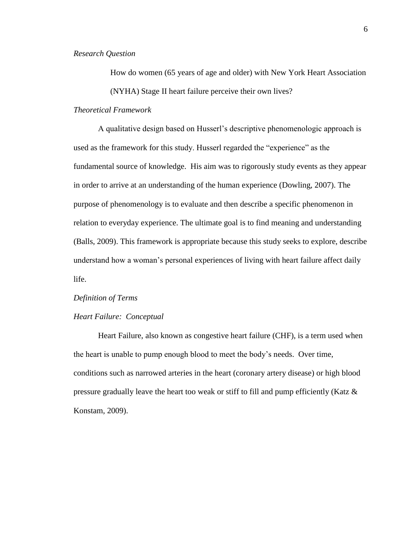# *Research Question*

How do women (65 years of age and older) with New York Heart Association (NYHA) Stage II heart failure perceive their own lives?

## <span id="page-9-0"></span>*Theoretical Framework*

A qualitative design based on Husserl's descriptive phenomenologic approach is used as the framework for this study. Husserl regarded the "experience" as the fundamental source of knowledge. His aim was to rigorously study events as they appear in order to arrive at an understanding of the human experience (Dowling, 2007). The purpose of phenomenology is to evaluate and then describe a specific phenomenon in relation to everyday experience. The ultimate goal is to find meaning and understanding (Balls, 2009). This framework is appropriate because this study seeks to explore, describe understand how a woman's personal experiences of living with heart failure affect daily life.

#### <span id="page-9-1"></span>*Definition of Terms*

#### <span id="page-9-2"></span>*Heart Failure: Conceptual*

Heart Failure, also known as congestive heart failure (CHF), is a term used when the heart is unable to pump enough blood to meet the body's needs. Over time, conditions such as narrowed arteries in the heart (coronary artery disease) or high blood pressure gradually leave the heart too weak or stiff to fill and pump efficiently (Katz  $\&$ Konstam, 2009).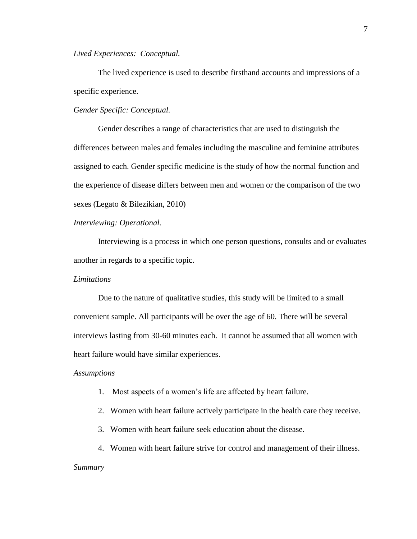<span id="page-10-0"></span>*Lived Experiences: Conceptual.*

The lived experience is used to describe firsthand accounts and impressions of a specific experience.

<span id="page-10-1"></span>*Gender Specific: Conceptual.*

Gender describes a range of characteristics that are used to distinguish the differences between males and females including the masculine and feminine attributes assigned to each. Gender specific medicine is the study of how the normal function and the experience of disease differs between men and women or the comparison of the two sexes (Legato & Bilezikian, 2010)

*Interviewing: Operational.*

Interviewing is a process in which one person questions, consults and or evaluates another in regards to a specific topic.

# <span id="page-10-2"></span>*Limitations*

Due to the nature of qualitative studies, this study will be limited to a small convenient sample. All participants will be over the age of 60. There will be several interviews lasting from 30-60 minutes each. It cannot be assumed that all women with heart failure would have similar experiences.

#### <span id="page-10-3"></span>*Assumptions*

- 1. Most aspects of a women's life are affected by heart failure.
- 2. Women with heart failure actively participate in the health care they receive.
- 3. Women with heart failure seek education about the disease.

<span id="page-10-4"></span>4. Women with heart failure strive for control and management of their illness. *Summary*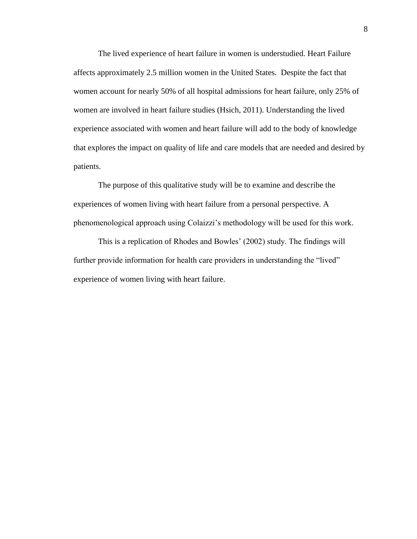The lived experience of heart failure in women is understudied. Heart Failure affects approximately 2.5 million women in the United States. Despite the fact that women account for nearly 50% of all hospital admissions for heart failure, only 25% of women are involved in heart failure studies (Hsich, 2011). Understanding the lived experience associated with women and heart failure will add to the body of knowledge that explores the impact on quality of life and care models that are needed and desired by patients.

The purpose of this qualitative study will be to examine and describe the experiences of women living with heart failure from a personal perspective. A phenomenological approach using Colaizzi's methodology will be used for this work.

This is a replication of Rhodes and Bowles' (2002) study. The findings will further provide information for health care providers in understanding the "lived" experience of women living with heart failure.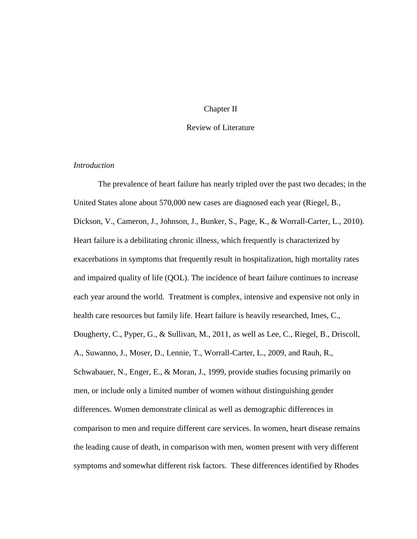## Chapter II

## Review of Literature

# <span id="page-12-2"></span><span id="page-12-1"></span><span id="page-12-0"></span>*Introduction*

The prevalence of heart failure has nearly tripled over the past two decades; in the United States alone about 570,000 new cases are diagnosed each year (Riegel, B., Dickson, V., Cameron, J., Johnson, J., Bunker, S., Page, K., & Worrall-Carter, L., 2010). Heart failure is a debilitating chronic illness, which frequently is characterized by exacerbations in symptoms that frequently result in hospitalization, high mortality rates and impaired quality of life (QOL). The incidence of heart failure continues to increase each year around the world. Treatment is complex, intensive and expensive not only in health care resources but family life. Heart failure is heavily researched, Imes, C., Dougherty, C., Pyper, G., & Sullivan, M., 2011, as well as Lee, C., Riegel, B., Driscoll, A., Suwanno, J., Moser, D., Lennie, T., Worrall-Carter, L., 2009, and Rauh, R., Schwabauer, N., Enger, E., & Moran, J., 1999, provide studies focusing primarily on men, or include only a limited number of women without distinguishing gender differences. Women demonstrate clinical as well as demographic differences in comparison to men and require different care services. In women, heart disease remains the leading cause of death, in comparison with men, women present with very different symptoms and somewhat different risk factors. These differences identified by Rhodes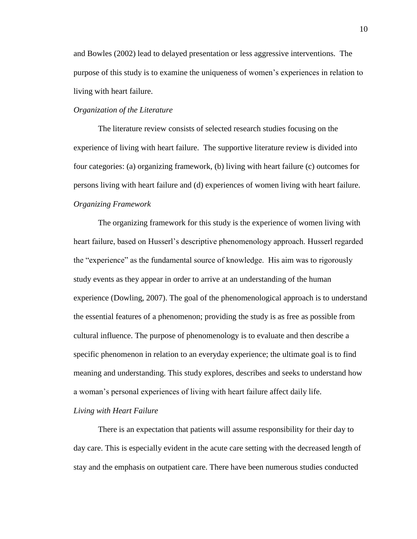and Bowles (2002) lead to delayed presentation or less aggressive interventions. The purpose of this study is to examine the uniqueness of women's experiences in relation to living with heart failure.

# <span id="page-13-0"></span>*Organization of the Literature*

The literature review consists of selected research studies focusing on the experience of living with heart failure. The supportive literature review is divided into four categories: (a) organizing framework, (b) living with heart failure (c) outcomes for persons living with heart failure and (d) experiences of women living with heart failure. *Organizing Framework*

<span id="page-13-1"></span>The organizing framework for this study is the experience of women living with heart failure, based on Husserl's descriptive phenomenology approach. Husserl regarded the "experience" as the fundamental source of knowledge. His aim was to rigorously study events as they appear in order to arrive at an understanding of the human experience (Dowling, 2007). The goal of the phenomenological approach is to understand the essential features of a phenomenon; providing the study is as free as possible from cultural influence. The purpose of phenomenology is to evaluate and then describe a specific phenomenon in relation to an everyday experience; the ultimate goal is to find meaning and understanding. This study explores, describes and seeks to understand how a woman's personal experiences of living with heart failure affect daily life.

# <span id="page-13-2"></span>*Living with Heart Failure*

There is an expectation that patients will assume responsibility for their day to day care. This is especially evident in the acute care setting with the decreased length of stay and the emphasis on outpatient care. There have been numerous studies conducted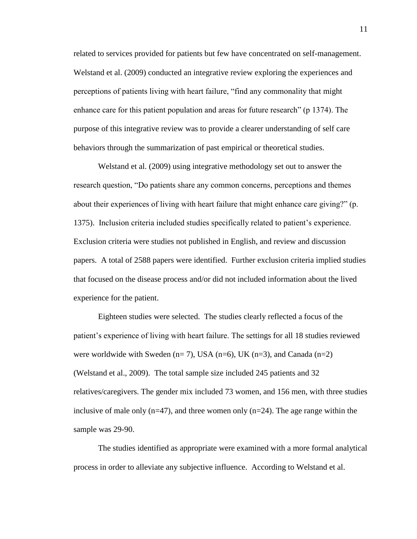related to services provided for patients but few have concentrated on self-management. Welstand et al. (2009) conducted an integrative review exploring the experiences and perceptions of patients living with heart failure, "find any commonality that might enhance care for this patient population and areas for future research" (p 1374). The purpose of this integrative review was to provide a clearer understanding of self care behaviors through the summarization of past empirical or theoretical studies.

Welstand et al. (2009) using integrative methodology set out to answer the research question, "Do patients share any common concerns, perceptions and themes about their experiences of living with heart failure that might enhance care giving?" (p. 1375). Inclusion criteria included studies specifically related to patient's experience. Exclusion criteria were studies not published in English, and review and discussion papers. A total of 2588 papers were identified. Further exclusion criteria implied studies that focused on the disease process and/or did not included information about the lived experience for the patient.

Eighteen studies were selected. The studies clearly reflected a focus of the patient's experience of living with heart failure. The settings for all 18 studies reviewed were worldwide with Sweden ( $n= 7$ ), USA ( $n=6$ ), UK ( $n=3$ ), and Canada ( $n=2$ ) (Welstand et al., 2009). The total sample size included 245 patients and 32 relatives/caregivers. The gender mix included 73 women, and 156 men, with three studies inclusive of male only  $(n=47)$ , and three women only  $(n=24)$ . The age range within the sample was 29-90.

The studies identified as appropriate were examined with a more formal analytical process in order to alleviate any subjective influence. According to Welstand et al.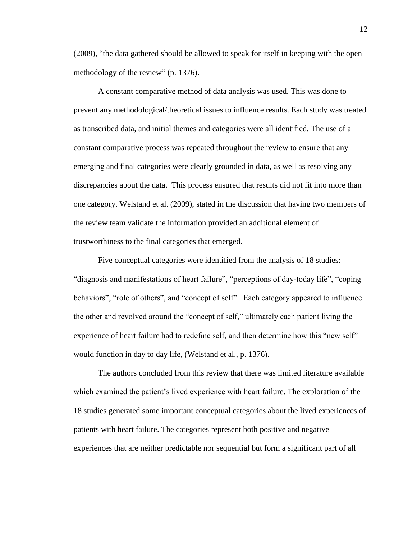(2009), "the data gathered should be allowed to speak for itself in keeping with the open methodology of the review" (p. 1376).

A constant comparative method of data analysis was used. This was done to prevent any methodological/theoretical issues to influence results. Each study was treated as transcribed data, and initial themes and categories were all identified. The use of a constant comparative process was repeated throughout the review to ensure that any emerging and final categories were clearly grounded in data, as well as resolving any discrepancies about the data. This process ensured that results did not fit into more than one category. Welstand et al. (2009), stated in the discussion that having two members of the review team validate the information provided an additional element of trustworthiness to the final categories that emerged.

Five conceptual categories were identified from the analysis of 18 studies: "diagnosis and manifestations of heart failure", "perceptions of day-today life", "coping behaviors", "role of others", and "concept of self". Each category appeared to influence the other and revolved around the "concept of self," ultimately each patient living the experience of heart failure had to redefine self, and then determine how this "new self" would function in day to day life, (Welstand et al., p. 1376).

The authors concluded from this review that there was limited literature available which examined the patient's lived experience with heart failure. The exploration of the 18 studies generated some important conceptual categories about the lived experiences of patients with heart failure. The categories represent both positive and negative experiences that are neither predictable nor sequential but form a significant part of all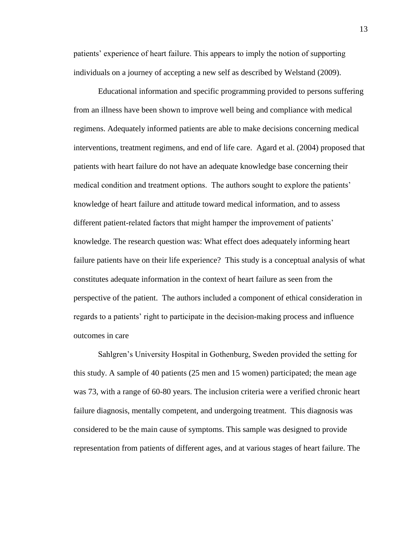patients' experience of heart failure. This appears to imply the notion of supporting individuals on a journey of accepting a new self as described by Welstand (2009).

Educational information and specific programming provided to persons suffering from an illness have been shown to improve well being and compliance with medical regimens. Adequately informed patients are able to make decisions concerning medical interventions, treatment regimens, and end of life care. Agard et al. (2004) proposed that patients with heart failure do not have an adequate knowledge base concerning their medical condition and treatment options. The authors sought to explore the patients' knowledge of heart failure and attitude toward medical information, and to assess different patient-related factors that might hamper the improvement of patients' knowledge. The research question was: What effect does adequately informing heart failure patients have on their life experience? This study is a conceptual analysis of what constitutes adequate information in the context of heart failure as seen from the perspective of the patient. The authors included a component of ethical consideration in regards to a patients' right to participate in the decision-making process and influence outcomes in care

Sahlgren's University Hospital in Gothenburg, Sweden provided the setting for this study. A sample of 40 patients (25 men and 15 women) participated; the mean age was 73, with a range of 60-80 years. The inclusion criteria were a verified chronic heart failure diagnosis, mentally competent, and undergoing treatment. This diagnosis was considered to be the main cause of symptoms. This sample was designed to provide representation from patients of different ages, and at various stages of heart failure. The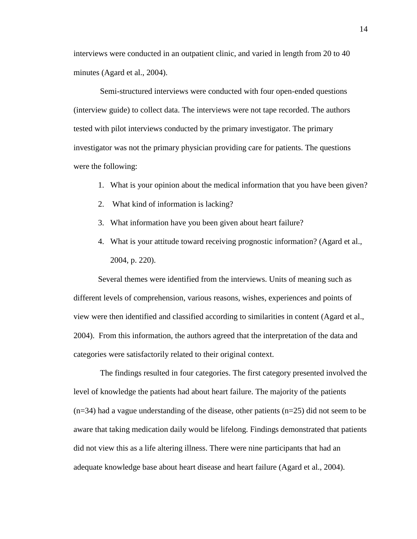interviews were conducted in an outpatient clinic, and varied in length from 20 to 40 minutes (Agard et al., 2004).

Semi-structured interviews were conducted with four open-ended questions (interview guide) to collect data. The interviews were not tape recorded. The authors tested with pilot interviews conducted by the primary investigator. The primary investigator was not the primary physician providing care for patients. The questions were the following:

- 1. What is your opinion about the medical information that you have been given?
- 2. What kind of information is lacking?
- 3. What information have you been given about heart failure?
- 4. What is your attitude toward receiving prognostic information? (Agard et al., 2004, p. 220).

Several themes were identified from the interviews. Units of meaning such as different levels of comprehension, various reasons, wishes, experiences and points of view were then identified and classified according to similarities in content (Agard et al., 2004). From this information, the authors agreed that the interpretation of the data and categories were satisfactorily related to their original context.

The findings resulted in four categories. The first category presented involved the level of knowledge the patients had about heart failure. The majority of the patients  $(n=34)$  had a vague understanding of the disease, other patients  $(n=25)$  did not seem to be aware that taking medication daily would be lifelong. Findings demonstrated that patients did not view this as a life altering illness. There were nine participants that had an adequate knowledge base about heart disease and heart failure (Agard et al., 2004).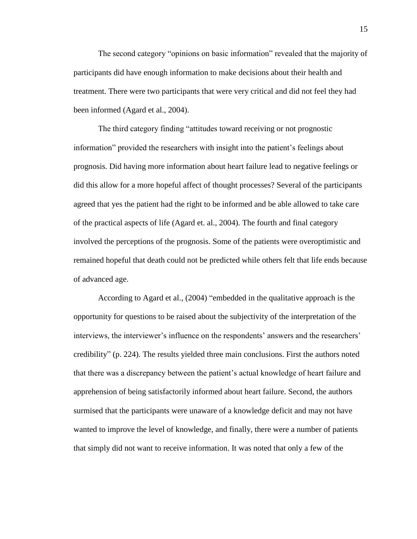The second category "opinions on basic information" revealed that the majority of participants did have enough information to make decisions about their health and treatment. There were two participants that were very critical and did not feel they had been informed (Agard et al., 2004).

The third category finding "attitudes toward receiving or not prognostic information" provided the researchers with insight into the patient's feelings about prognosis. Did having more information about heart failure lead to negative feelings or did this allow for a more hopeful affect of thought processes? Several of the participants agreed that yes the patient had the right to be informed and be able allowed to take care of the practical aspects of life (Agard et. al., 2004). The fourth and final category involved the perceptions of the prognosis. Some of the patients were overoptimistic and remained hopeful that death could not be predicted while others felt that life ends because of advanced age.

According to Agard et al., (2004) "embedded in the qualitative approach is the opportunity for questions to be raised about the subjectivity of the interpretation of the interviews, the interviewer's influence on the respondents' answers and the researchers' credibility" (p. 224). The results yielded three main conclusions. First the authors noted that there was a discrepancy between the patient's actual knowledge of heart failure and apprehension of being satisfactorily informed about heart failure. Second, the authors surmised that the participants were unaware of a knowledge deficit and may not have wanted to improve the level of knowledge, and finally, there were a number of patients that simply did not want to receive information. It was noted that only a few of the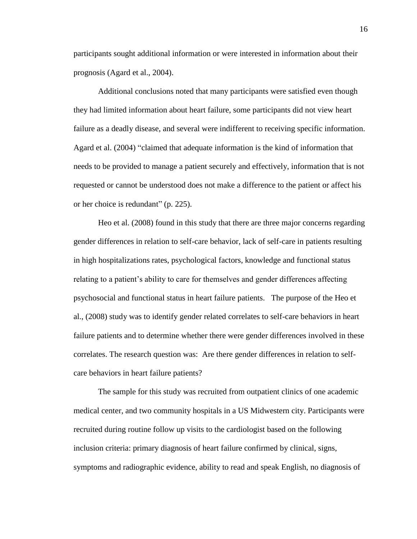participants sought additional information or were interested in information about their prognosis (Agard et al., 2004).

Additional conclusions noted that many participants were satisfied even though they had limited information about heart failure, some participants did not view heart failure as a deadly disease, and several were indifferent to receiving specific information. Agard et al. (2004) "claimed that adequate information is the kind of information that needs to be provided to manage a patient securely and effectively, information that is not requested or cannot be understood does not make a difference to the patient or affect his or her choice is redundant" (p. 225).

Heo et al. (2008) found in this study that there are three major concerns regarding gender differences in relation to self-care behavior, lack of self-care in patients resulting in high hospitalizations rates, psychological factors, knowledge and functional status relating to a patient's ability to care for themselves and gender differences affecting psychosocial and functional status in heart failure patients. The purpose of the Heo et al., (2008) study was to identify gender related correlates to self-care behaviors in heart failure patients and to determine whether there were gender differences involved in these correlates. The research question was: Are there gender differences in relation to selfcare behaviors in heart failure patients?

The sample for this study was recruited from outpatient clinics of one academic medical center, and two community hospitals in a US Midwestern city. Participants were recruited during routine follow up visits to the cardiologist based on the following inclusion criteria: primary diagnosis of heart failure confirmed by clinical, signs, symptoms and radiographic evidence, ability to read and speak English, no diagnosis of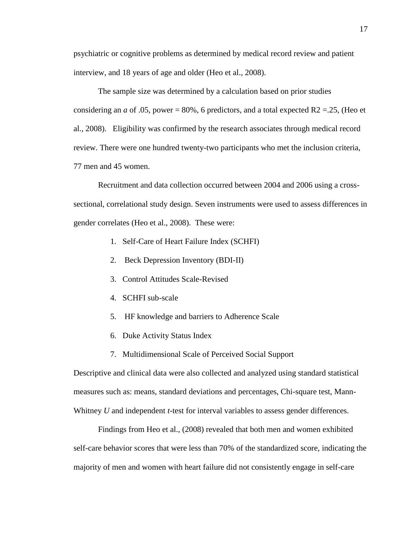psychiatric or cognitive problems as determined by medical record review and patient interview, and 18 years of age and older (Heo et al., 2008).

The sample size was determined by a calculation based on prior studies considering an *a* of .05, power = 80%, 6 predictors, and a total expected R2 = 25, (Heo et al., 2008). Eligibility was confirmed by the research associates through medical record review. There were one hundred twenty-two participants who met the inclusion criteria, 77 men and 45 women.

Recruitment and data collection occurred between 2004 and 2006 using a crosssectional, correlational study design. Seven instruments were used to assess differences in gender correlates (Heo et al., 2008). These were:

- 1. Self-Care of Heart Failure Index (SCHFI)
- 2. Beck Depression Inventory (BDI-II)
- 3. Control Attitudes Scale-Revised
- 4. SCHFI sub-scale
- 5. HF knowledge and barriers to Adherence Scale
- 6. Duke Activity Status Index
- 7. Multidimensional Scale of Perceived Social Support

Descriptive and clinical data were also collected and analyzed using standard statistical measures such as: means, standard deviations and percentages, Chi-square test, Mann-Whitney *U* and independent *t*-test for interval variables to assess gender differences.

Findings from Heo et al., (2008) revealed that both men and women exhibited self-care behavior scores that were less than 70% of the standardized score, indicating the majority of men and women with heart failure did not consistently engage in self-care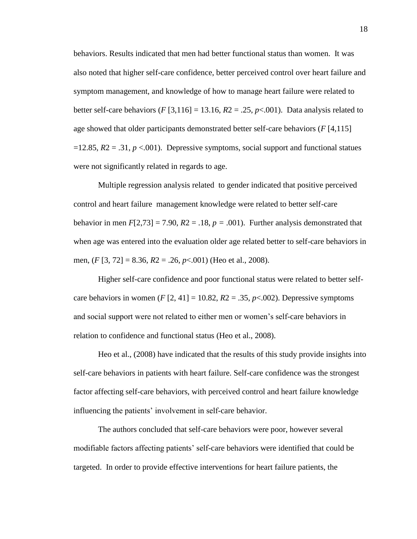behaviors. Results indicated that men had better functional status than women. It was also noted that higher self-care confidence, better perceived control over heart failure and symptom management, and knowledge of how to manage heart failure were related to better self-care behaviors (*F* [3,116] = 13.16,  $R2 = .25$ ,  $p < .001$ ). Data analysis related to age showed that older participants demonstrated better self-care behaviors (*F* [4,115]  $=12.85$ ,  $R2 = .31$ ,  $p < .001$ ). Depressive symptoms, social support and functional statues were not significantly related in regards to age.

Multiple regression analysis related to gender indicated that positive perceived control and heart failure management knowledge were related to better self-care behavior in men  $F[2,73] = 7.90$ ,  $R2 = .18$ ,  $p = .001$ ). Further analysis demonstrated that when age was entered into the evaluation older age related better to self-care behaviors in men, (*F* [3, 72] = 8.36, *R*2 = .26, *p*<.001) (Heo et al., 2008).

Higher self-care confidence and poor functional status were related to better selfcare behaviors in women  $(F [2, 41] = 10.82, R2 = .35, p<.002)$ . Depressive symptoms and social support were not related to either men or women's self-care behaviors in relation to confidence and functional status (Heo et al., 2008).

Heo et al., (2008) have indicated that the results of this study provide insights into self-care behaviors in patients with heart failure. Self-care confidence was the strongest factor affecting self-care behaviors, with perceived control and heart failure knowledge influencing the patients' involvement in self-care behavior.

The authors concluded that self-care behaviors were poor, however several modifiable factors affecting patients' self-care behaviors were identified that could be targeted. In order to provide effective interventions for heart failure patients, the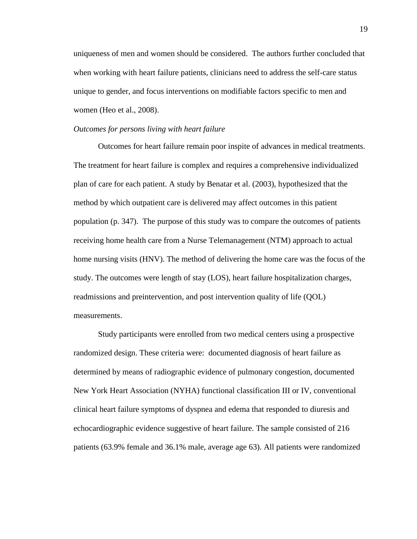uniqueness of men and women should be considered. The authors further concluded that when working with heart failure patients, clinicians need to address the self-care status unique to gender, and focus interventions on modifiable factors specific to men and women (Heo et al., 2008).

## *Outcomes for persons living with heart failure*

Outcomes for heart failure remain poor inspite of advances in medical treatments. The treatment for heart failure is complex and requires a comprehensive individualized plan of care for each patient. A study by Benatar et al. (2003), hypothesized that the method by which outpatient care is delivered may affect outcomes in this patient population (p. 347). The purpose of this study was to compare the outcomes of patients receiving home health care from a Nurse Telemanagement (NTM) approach to actual home nursing visits (HNV). The method of delivering the home care was the focus of the study. The outcomes were length of stay (LOS), heart failure hospitalization charges, readmissions and preintervention, and post intervention quality of life (QOL) measurements.

Study participants were enrolled from two medical centers using a prospective randomized design. These criteria were: documented diagnosis of heart failure as determined by means of radiographic evidence of pulmonary congestion, documented New York Heart Association (NYHA) functional classification III or IV, conventional clinical heart failure symptoms of dyspnea and edema that responded to diuresis and echocardiographic evidence suggestive of heart failure. The sample consisted of 216 patients (63.9% female and 36.1% male, average age 63). All patients were randomized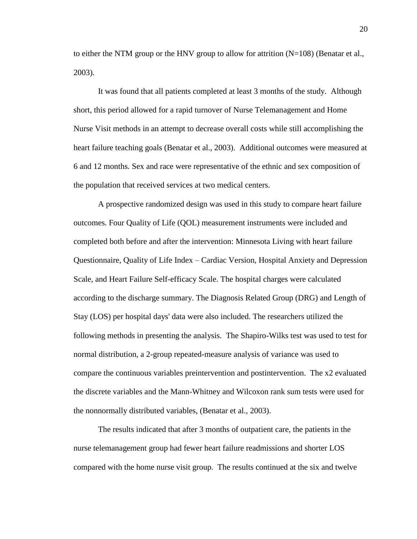to either the NTM group or the HNV group to allow for attrition  $(N=108)$  (Benatar et al., 2003).

It was found that all patients completed at least 3 months of the study. Although short, this period allowed for a rapid turnover of Nurse Telemanagement and Home Nurse Visit methods in an attempt to decrease overall costs while still accomplishing the heart failure teaching goals (Benatar et al., 2003). Additional outcomes were measured at 6 and 12 months. Sex and race were representative of the ethnic and sex composition of the population that received services at two medical centers.

A prospective randomized design was used in this study to compare heart failure outcomes. Four Quality of Life (QOL) measurement instruments were included and completed both before and after the intervention: Minnesota Living with heart failure Questionnaire, Quality of Life Index – Cardiac Version, Hospital Anxiety and Depression Scale, and Heart Failure Self-efficacy Scale. The hospital charges were calculated according to the discharge summary. The Diagnosis Related Group (DRG) and Length of Stay (LOS) per hospital days' data were also included. The researchers utilized the following methods in presenting the analysis. The Shapiro-Wilks test was used to test for normal distribution, a 2-group repeated-measure analysis of variance was used to compare the continuous variables preintervention and postintervention. The x2 evaluated the discrete variables and the Mann-Whitney and Wilcoxon rank sum tests were used for the nonnormally distributed variables, (Benatar et al., 2003).

The results indicated that after 3 months of outpatient care, the patients in the nurse telemanagement group had fewer heart failure readmissions and shorter LOS compared with the home nurse visit group. The results continued at the six and twelve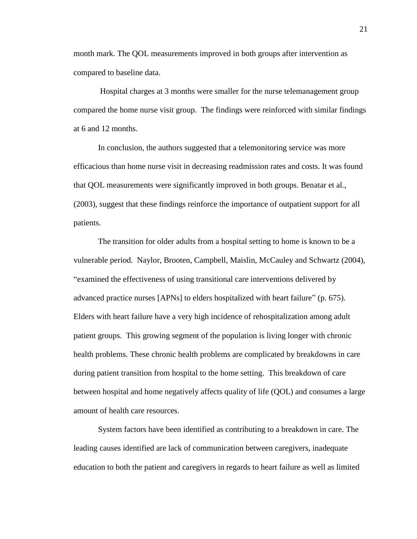month mark. The QOL measurements improved in both groups after intervention as compared to baseline data.

Hospital charges at 3 months were smaller for the nurse telemanagement group compared the home nurse visit group. The findings were reinforced with similar findings at 6 and 12 months.

In conclusion, the authors suggested that a telemonitoring service was more efficacious than home nurse visit in decreasing readmission rates and costs. It was found that QOL measurements were significantly improved in both groups. Benatar et al., (2003), suggest that these findings reinforce the importance of outpatient support for all patients.

The transition for older adults from a hospital setting to home is known to be a vulnerable period. Naylor, Brooten, Campbell, Maislin, McCauley and Schwartz (2004), "examined the effectiveness of using transitional care interventions delivered by advanced practice nurses [APNs] to elders hospitalized with heart failure" (p. 675). Elders with heart failure have a very high incidence of rehospitalization among adult patient groups. This growing segment of the population is living longer with chronic health problems. These chronic health problems are complicated by breakdowns in care during patient transition from hospital to the home setting. This breakdown of care between hospital and home negatively affects quality of life (QOL) and consumes a large amount of health care resources.

System factors have been identified as contributing to a breakdown in care. The leading causes identified are lack of communication between caregivers, inadequate education to both the patient and caregivers in regards to heart failure as well as limited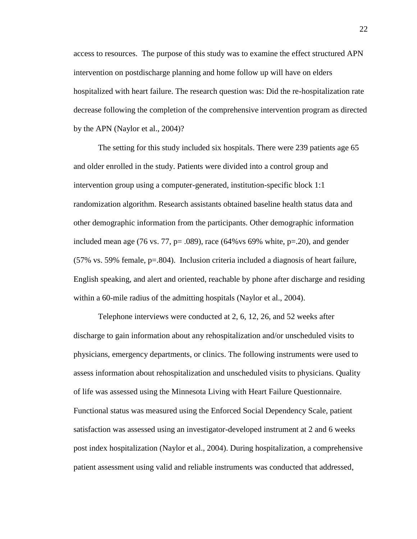access to resources. The purpose of this study was to examine the effect structured APN intervention on postdischarge planning and home follow up will have on elders hospitalized with heart failure. The research question was: Did the re-hospitalization rate decrease following the completion of the comprehensive intervention program as directed by the APN (Naylor et al., 2004)?

The setting for this study included six hospitals. There were 239 patients age 65 and older enrolled in the study. Patients were divided into a control group and intervention group using a computer-generated, institution-specific block 1:1 randomization algorithm. Research assistants obtained baseline health status data and other demographic information from the participants. Other demographic information included mean age (76 vs. 77,  $p = .089$ ), race (64% vs 69% white,  $p = .20$ ), and gender (57% vs. 59% female, p=.804). Inclusion criteria included a diagnosis of heart failure, English speaking, and alert and oriented, reachable by phone after discharge and residing within a 60-mile radius of the admitting hospitals (Naylor et al., 2004).

Telephone interviews were conducted at 2, 6, 12, 26, and 52 weeks after discharge to gain information about any rehospitalization and/or unscheduled visits to physicians, emergency departments, or clinics. The following instruments were used to assess information about rehospitalization and unscheduled visits to physicians. Quality of life was assessed using the Minnesota Living with Heart Failure Questionnaire. Functional status was measured using the Enforced Social Dependency Scale, patient satisfaction was assessed using an investigator-developed instrument at 2 and 6 weeks post index hospitalization (Naylor et al., 2004). During hospitalization, a comprehensive patient assessment using valid and reliable instruments was conducted that addressed,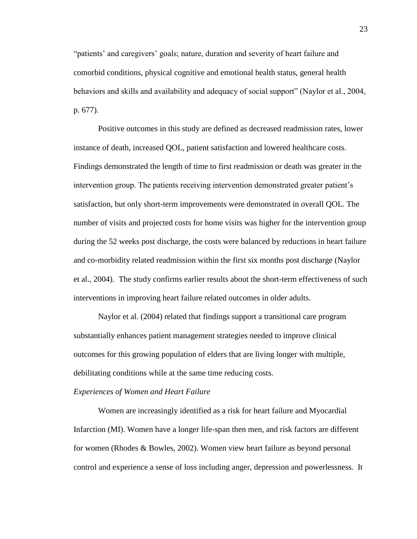"patients' and caregivers' goals; nature, duration and severity of heart failure and comorbid conditions, physical cognitive and emotional health status, general health behaviors and skills and availability and adequacy of social support" (Naylor et al., 2004, p. 677).

Positive outcomes in this study are defined as decreased readmission rates, lower instance of death, increased QOL, patient satisfaction and lowered healthcare costs. Findings demonstrated the length of time to first readmission or death was greater in the intervention group. The patients receiving intervention demonstrated greater patient's satisfaction, but only short-term improvements were demonstrated in overall QOL. The number of visits and projected costs for home visits was higher for the intervention group during the 52 weeks post discharge, the costs were balanced by reductions in heart failure and co-morbidity related readmission within the first six months post discharge (Naylor et al., 2004). The study confirms earlier results about the short-term effectiveness of such interventions in improving heart failure related outcomes in older adults.

Naylor et al. (2004) related that findings support a transitional care program substantially enhances patient management strategies needed to improve clinical outcomes for this growing population of elders that are living longer with multiple, debilitating conditions while at the same time reducing costs.

#### <span id="page-26-0"></span>*Experiences of Women and Heart Failure*

Women are increasingly identified as a risk for heart failure and Myocardial Infarction (MI). Women have a longer life-span then men, and risk factors are different for women (Rhodes & Bowles, 2002). Women view heart failure as beyond personal control and experience a sense of loss including anger, depression and powerlessness. It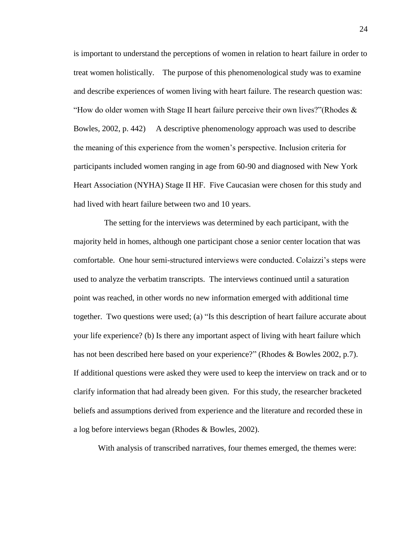is important to understand the perceptions of women in relation to heart failure in order to treat women holistically. The purpose of this phenomenological study was to examine and describe experiences of women living with heart failure. The research question was: "How do older women with Stage II heart failure perceive their own lives?"(Rhodes  $\&$ Bowles, 2002, p. 442) A descriptive phenomenology approach was used to describe the meaning of this experience from the women's perspective. Inclusion criteria for participants included women ranging in age from 60-90 and diagnosed with New York Heart Association (NYHA) Stage II HF. Five Caucasian were chosen for this study and had lived with heart failure between two and 10 years.

 The setting for the interviews was determined by each participant, with the majority held in homes, although one participant chose a senior center location that was comfortable. One hour semi-structured interviews were conducted. Colaizzi's steps were used to analyze the verbatim transcripts. The interviews continued until a saturation point was reached, in other words no new information emerged with additional time together. Two questions were used; (a) "Is this description of heart failure accurate about your life experience? (b) Is there any important aspect of living with heart failure which has not been described here based on your experience?" (Rhodes & Bowles 2002, p.7). If additional questions were asked they were used to keep the interview on track and or to clarify information that had already been given. For this study, the researcher bracketed beliefs and assumptions derived from experience and the literature and recorded these in a log before interviews began (Rhodes & Bowles, 2002).

With analysis of transcribed narratives, four themes emerged, the themes were: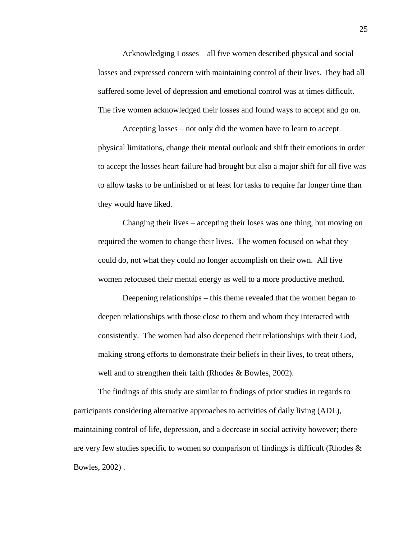Acknowledging Losses – all five women described physical and social losses and expressed concern with maintaining control of their lives. They had all suffered some level of depression and emotional control was at times difficult. The five women acknowledged their losses and found ways to accept and go on.

Accepting losses – not only did the women have to learn to accept physical limitations, change their mental outlook and shift their emotions in order to accept the losses heart failure had brought but also a major shift for all five was to allow tasks to be unfinished or at least for tasks to require far longer time than they would have liked.

Changing their lives – accepting their loses was one thing, but moving on required the women to change their lives. The women focused on what they could do, not what they could no longer accomplish on their own. All five women refocused their mental energy as well to a more productive method.

Deepening relationships – this theme revealed that the women began to deepen relationships with those close to them and whom they interacted with consistently. The women had also deepened their relationships with their God, making strong efforts to demonstrate their beliefs in their lives, to treat others, well and to strengthen their faith (Rhodes & Bowles, 2002).

The findings of this study are similar to findings of prior studies in regards to participants considering alternative approaches to activities of daily living (ADL), maintaining control of life, depression, and a decrease in social activity however; there are very few studies specific to women so comparison of findings is difficult (Rhodes  $\&$ Bowles, 2002) .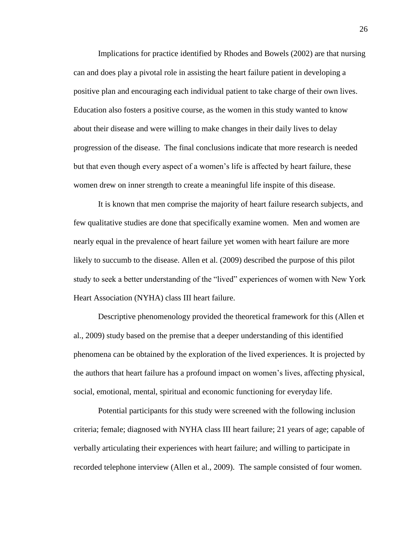Implications for practice identified by Rhodes and Bowels (2002) are that nursing can and does play a pivotal role in assisting the heart failure patient in developing a positive plan and encouraging each individual patient to take charge of their own lives. Education also fosters a positive course, as the women in this study wanted to know about their disease and were willing to make changes in their daily lives to delay progression of the disease. The final conclusions indicate that more research is needed but that even though every aspect of a women's life is affected by heart failure, these women drew on inner strength to create a meaningful life inspite of this disease.

It is known that men comprise the majority of heart failure research subjects, and few qualitative studies are done that specifically examine women. Men and women are nearly equal in the prevalence of heart failure yet women with heart failure are more likely to succumb to the disease. Allen et al. (2009) described the purpose of this pilot study to seek a better understanding of the "lived" experiences of women with New York Heart Association (NYHA) class III heart failure.

Descriptive phenomenology provided the theoretical framework for this (Allen et al., 2009) study based on the premise that a deeper understanding of this identified phenomena can be obtained by the exploration of the lived experiences. It is projected by the authors that heart failure has a profound impact on women's lives, affecting physical, social, emotional, mental, spiritual and economic functioning for everyday life.

Potential participants for this study were screened with the following inclusion criteria; female; diagnosed with NYHA class III heart failure; 21 years of age; capable of verbally articulating their experiences with heart failure; and willing to participate in recorded telephone interview (Allen et al., 2009). The sample consisted of four women.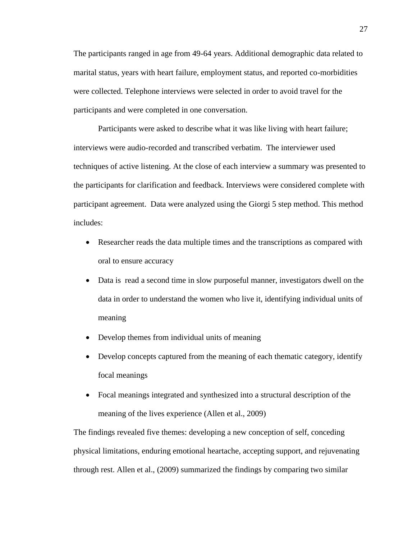The participants ranged in age from 49-64 years. Additional demographic data related to marital status, years with heart failure, employment status, and reported co-morbidities were collected. Telephone interviews were selected in order to avoid travel for the participants and were completed in one conversation.

Participants were asked to describe what it was like living with heart failure; interviews were audio-recorded and transcribed verbatim. The interviewer used techniques of active listening. At the close of each interview a summary was presented to the participants for clarification and feedback. Interviews were considered complete with participant agreement. Data were analyzed using the Giorgi 5 step method. This method includes:

- Researcher reads the data multiple times and the transcriptions as compared with oral to ensure accuracy
- Data is read a second time in slow purposeful manner, investigators dwell on the data in order to understand the women who live it, identifying individual units of meaning
- Develop themes from individual units of meaning
- Develop concepts captured from the meaning of each thematic category, identify focal meanings
- Focal meanings integrated and synthesized into a structural description of the meaning of the lives experience (Allen et al., 2009)

The findings revealed five themes: developing a new conception of self, conceding physical limitations, enduring emotional heartache, accepting support, and rejuvenating through rest. Allen et al., (2009) summarized the findings by comparing two similar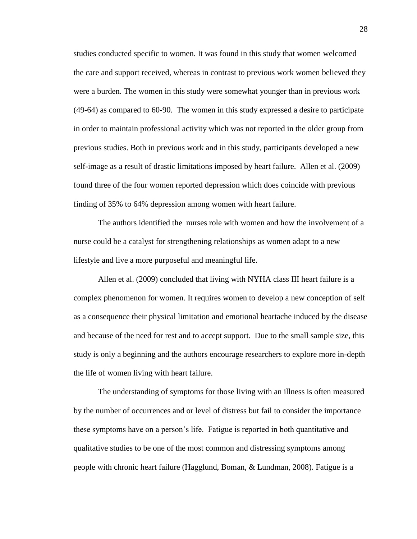studies conducted specific to women. It was found in this study that women welcomed the care and support received, whereas in contrast to previous work women believed they were a burden. The women in this study were somewhat younger than in previous work (49-64) as compared to 60-90. The women in this study expressed a desire to participate in order to maintain professional activity which was not reported in the older group from previous studies. Both in previous work and in this study, participants developed a new self-image as a result of drastic limitations imposed by heart failure. Allen et al. (2009) found three of the four women reported depression which does coincide with previous finding of 35% to 64% depression among women with heart failure.

The authors identified the nurses role with women and how the involvement of a nurse could be a catalyst for strengthening relationships as women adapt to a new lifestyle and live a more purposeful and meaningful life.

Allen et al. (2009) concluded that living with NYHA class III heart failure is a complex phenomenon for women. It requires women to develop a new conception of self as a consequence their physical limitation and emotional heartache induced by the disease and because of the need for rest and to accept support. Due to the small sample size, this study is only a beginning and the authors encourage researchers to explore more in-depth the life of women living with heart failure.

The understanding of symptoms for those living with an illness is often measured by the number of occurrences and or level of distress but fail to consider the importance these symptoms have on a person's life. Fatigue is reported in both quantitative and qualitative studies to be one of the most common and distressing symptoms among people with chronic heart failure (Hagglund, Boman, & Lundman, 2008). Fatigue is a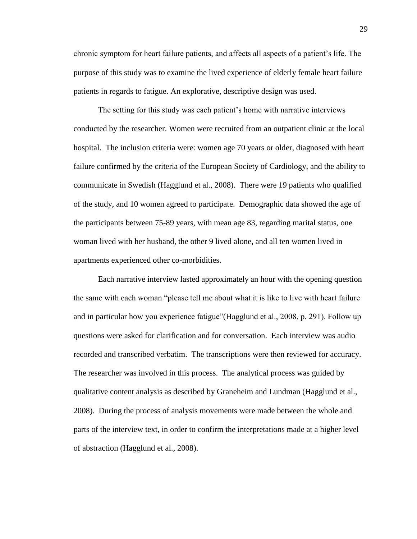chronic symptom for heart failure patients, and affects all aspects of a patient's life. The purpose of this study was to examine the lived experience of elderly female heart failure patients in regards to fatigue. An explorative, descriptive design was used.

The setting for this study was each patient's home with narrative interviews conducted by the researcher. Women were recruited from an outpatient clinic at the local hospital. The inclusion criteria were: women age 70 years or older, diagnosed with heart failure confirmed by the criteria of the European Society of Cardiology, and the ability to communicate in Swedish (Hagglund et al., 2008). There were 19 patients who qualified of the study, and 10 women agreed to participate. Demographic data showed the age of the participants between 75-89 years, with mean age 83, regarding marital status, one woman lived with her husband, the other 9 lived alone, and all ten women lived in apartments experienced other co-morbidities.

Each narrative interview lasted approximately an hour with the opening question the same with each woman "please tell me about what it is like to live with heart failure and in particular how you experience fatigue"(Hagglund et al., 2008, p. 291). Follow up questions were asked for clarification and for conversation. Each interview was audio recorded and transcribed verbatim. The transcriptions were then reviewed for accuracy. The researcher was involved in this process. The analytical process was guided by qualitative content analysis as described by Graneheim and Lundman (Hagglund et al., 2008). During the process of analysis movements were made between the whole and parts of the interview text, in order to confirm the interpretations made at a higher level of abstraction (Hagglund et al., 2008).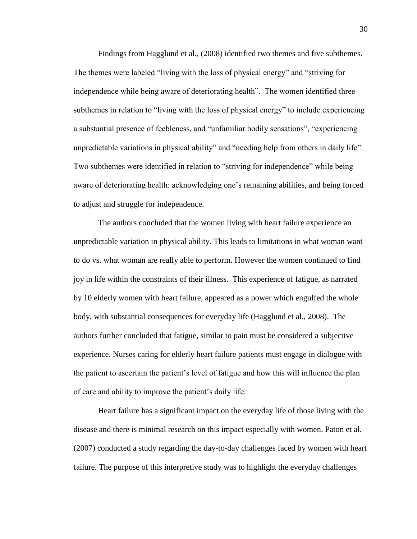Findings from Hagglund et al., (2008) identified two themes and five subthemes. The themes were labeled "living with the loss of physical energy" and "striving for independence while being aware of deteriorating health". The women identified three subthemes in relation to "living with the loss of physical energy" to include experiencing a substantial presence of feebleness, and "unfamiliar bodily sensations", "experiencing unpredictable variations in physical ability" and "needing help from others in daily life". Two subthemes were identified in relation to "striving for independence" while being aware of deteriorating health: acknowledging one's remaining abilities, and being forced to adjust and struggle for independence.

The authors concluded that the women living with heart failure experience an unpredictable variation in physical ability. This leads to limitations in what woman want to do vs. what woman are really able to perform. However the women continued to find joy in life within the constraints of their illness. This experience of fatigue, as narrated by 10 elderly women with heart failure, appeared as a power which engulfed the whole body, with substantial consequences for everyday life (Hagglund et al., 2008). The authors further concluded that fatigue, similar to pain must be considered a subjective experience. Nurses caring for elderly heart failure patients must engage in dialogue with the patient to ascertain the patient's level of fatigue and how this will influence the plan of care and ability to improve the patient's daily life.

Heart failure has a significant impact on the everyday life of those living with the disease and there is minimal research on this impact especially with women. Paton et al. (2007) conducted a study regarding the day-to-day challenges faced by women with heart failure. The purpose of this interpretive study was to highlight the everyday challenges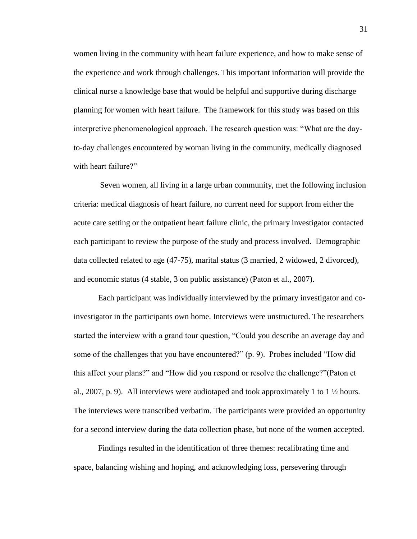women living in the community with heart failure experience, and how to make sense of the experience and work through challenges. This important information will provide the clinical nurse a knowledge base that would be helpful and supportive during discharge planning for women with heart failure. The framework for this study was based on this interpretive phenomenological approach. The research question was: "What are the dayto-day challenges encountered by woman living in the community, medically diagnosed with heart failure?"

Seven women, all living in a large urban community, met the following inclusion criteria: medical diagnosis of heart failure, no current need for support from either the acute care setting or the outpatient heart failure clinic, the primary investigator contacted each participant to review the purpose of the study and process involved. Demographic data collected related to age (47-75), marital status (3 married, 2 widowed, 2 divorced), and economic status (4 stable, 3 on public assistance) (Paton et al., 2007).

Each participant was individually interviewed by the primary investigator and coinvestigator in the participants own home. Interviews were unstructured. The researchers started the interview with a grand tour question, "Could you describe an average day and some of the challenges that you have encountered?" (p. 9). Probes included "How did this affect your plans?" and "How did you respond or resolve the challenge?"(Paton et al., 2007, p. 9). All interviews were audiotaped and took approximately 1 to 1  $\frac{1}{2}$  hours. The interviews were transcribed verbatim. The participants were provided an opportunity for a second interview during the data collection phase, but none of the women accepted.

Findings resulted in the identification of three themes: recalibrating time and space, balancing wishing and hoping, and acknowledging loss, persevering through

31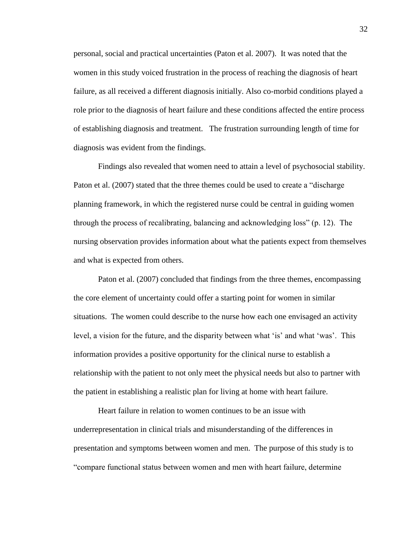personal, social and practical uncertainties (Paton et al. 2007). It was noted that the women in this study voiced frustration in the process of reaching the diagnosis of heart failure, as all received a different diagnosis initially. Also co-morbid conditions played a role prior to the diagnosis of heart failure and these conditions affected the entire process of establishing diagnosis and treatment. The frustration surrounding length of time for diagnosis was evident from the findings.

Findings also revealed that women need to attain a level of psychosocial stability. Paton et al. (2007) stated that the three themes could be used to create a "discharge planning framework, in which the registered nurse could be central in guiding women through the process of recalibrating, balancing and acknowledging loss" (p. 12). The nursing observation provides information about what the patients expect from themselves and what is expected from others.

Paton et al. (2007) concluded that findings from the three themes, encompassing the core element of uncertainty could offer a starting point for women in similar situations. The women could describe to the nurse how each one envisaged an activity level, a vision for the future, and the disparity between what 'is' and what 'was'. This information provides a positive opportunity for the clinical nurse to establish a relationship with the patient to not only meet the physical needs but also to partner with the patient in establishing a realistic plan for living at home with heart failure.

Heart failure in relation to women continues to be an issue with underrepresentation in clinical trials and misunderstanding of the differences in presentation and symptoms between women and men. The purpose of this study is to "compare functional status between women and men with heart failure, determine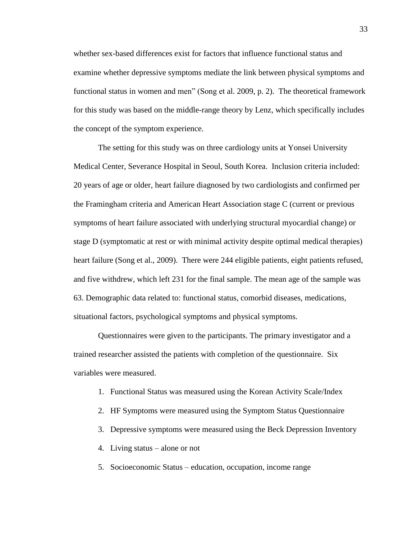whether sex-based differences exist for factors that influence functional status and examine whether depressive symptoms mediate the link between physical symptoms and functional status in women and men" (Song et al. 2009, p. 2). The theoretical framework for this study was based on the middle-range theory by Lenz, which specifically includes the concept of the symptom experience.

The setting for this study was on three cardiology units at Yonsei University Medical Center, Severance Hospital in Seoul, South Korea. Inclusion criteria included: 20 years of age or older, heart failure diagnosed by two cardiologists and confirmed per the Framingham criteria and American Heart Association stage C (current or previous symptoms of heart failure associated with underlying structural myocardial change) or stage D (symptomatic at rest or with minimal activity despite optimal medical therapies) heart failure (Song et al., 2009). There were 244 eligible patients, eight patients refused, and five withdrew, which left 231 for the final sample. The mean age of the sample was 63. Demographic data related to: functional status, comorbid diseases, medications, situational factors, psychological symptoms and physical symptoms.

Questionnaires were given to the participants. The primary investigator and a trained researcher assisted the patients with completion of the questionnaire. Six variables were measured.

- 1. Functional Status was measured using the Korean Activity Scale/Index
- 2. HF Symptoms were measured using the Symptom Status Questionnaire
- 3. Depressive symptoms were measured using the Beck Depression Inventory
- 4. Living status alone or not
- 5. Socioeconomic Status education, occupation, income range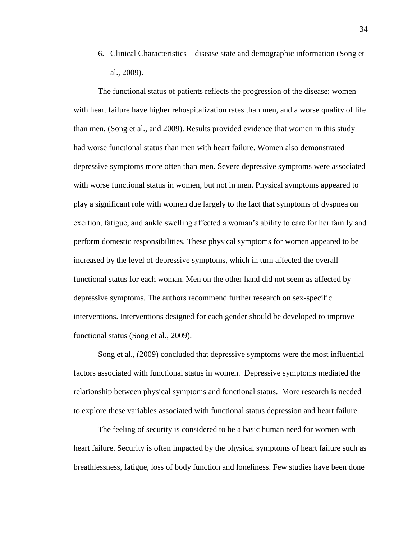6. Clinical Characteristics – disease state and demographic information (Song et al., 2009).

The functional status of patients reflects the progression of the disease; women with heart failure have higher rehospitalization rates than men, and a worse quality of life than men, (Song et al., and 2009). Results provided evidence that women in this study had worse functional status than men with heart failure. Women also demonstrated depressive symptoms more often than men. Severe depressive symptoms were associated with worse functional status in women, but not in men. Physical symptoms appeared to play a significant role with women due largely to the fact that symptoms of dyspnea on exertion, fatigue, and ankle swelling affected a woman's ability to care for her family and perform domestic responsibilities. These physical symptoms for women appeared to be increased by the level of depressive symptoms, which in turn affected the overall functional status for each woman. Men on the other hand did not seem as affected by depressive symptoms. The authors recommend further research on sex-specific interventions. Interventions designed for each gender should be developed to improve functional status (Song et al., 2009).

Song et al., (2009) concluded that depressive symptoms were the most influential factors associated with functional status in women. Depressive symptoms mediated the relationship between physical symptoms and functional status. More research is needed to explore these variables associated with functional status depression and heart failure.

The feeling of security is considered to be a basic human need for women with heart failure. Security is often impacted by the physical symptoms of heart failure such as breathlessness, fatigue, loss of body function and loneliness. Few studies have been done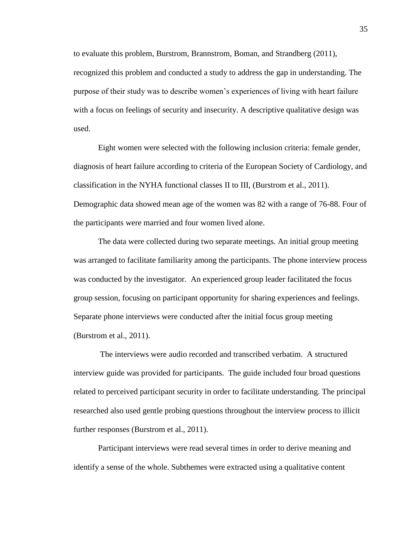to evaluate this problem, Burstrom, Brannstrom, Boman, and Strandberg (2011), recognized this problem and conducted a study to address the gap in understanding. The purpose of their study was to describe women's experiences of living with heart failure with a focus on feelings of security and insecurity. A descriptive qualitative design was used.

Eight women were selected with the following inclusion criteria: female gender, diagnosis of heart failure according to criteria of the European Society of Cardiology, and classification in the NYHA functional classes II to III, (Burstrom et al., 2011). Demographic data showed mean age of the women was 82 with a range of 76-88. Four of the participants were married and four women lived alone.

The data were collected during two separate meetings. An initial group meeting was arranged to facilitate familiarity among the participants. The phone interview process was conducted by the investigator. An experienced group leader facilitated the focus group session, focusing on participant opportunity for sharing experiences and feelings. Separate phone interviews were conducted after the initial focus group meeting (Burstrom et al., 2011).

The interviews were audio recorded and transcribed verbatim. A structured interview guide was provided for participants. The guide included four broad questions related to perceived participant security in order to facilitate understanding. The principal researched also used gentle probing questions throughout the interview process to illicit further responses (Burstrom et al., 2011).

Participant interviews were read several times in order to derive meaning and identify a sense of the whole. Subthemes were extracted using a qualitative content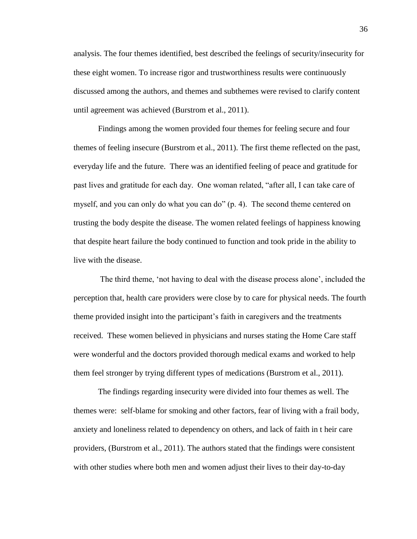analysis. The four themes identified, best described the feelings of security/insecurity for these eight women. To increase rigor and trustworthiness results were continuously discussed among the authors, and themes and subthemes were revised to clarify content until agreement was achieved (Burstrom et al., 2011).

Findings among the women provided four themes for feeling secure and four themes of feeling insecure (Burstrom et al., 2011). The first theme reflected on the past, everyday life and the future. There was an identified feeling of peace and gratitude for past lives and gratitude for each day. One woman related, "after all, I can take care of myself, and you can only do what you can do" (p. 4). The second theme centered on trusting the body despite the disease. The women related feelings of happiness knowing that despite heart failure the body continued to function and took pride in the ability to live with the disease.

The third theme, 'not having to deal with the disease process alone', included the perception that, health care providers were close by to care for physical needs. The fourth theme provided insight into the participant's faith in caregivers and the treatments received. These women believed in physicians and nurses stating the Home Care staff were wonderful and the doctors provided thorough medical exams and worked to help them feel stronger by trying different types of medications (Burstrom et al., 2011).

The findings regarding insecurity were divided into four themes as well. The themes were: self-blame for smoking and other factors, fear of living with a frail body, anxiety and loneliness related to dependency on others, and lack of faith in t heir care providers, (Burstrom et al., 2011). The authors stated that the findings were consistent with other studies where both men and women adjust their lives to their day-to-day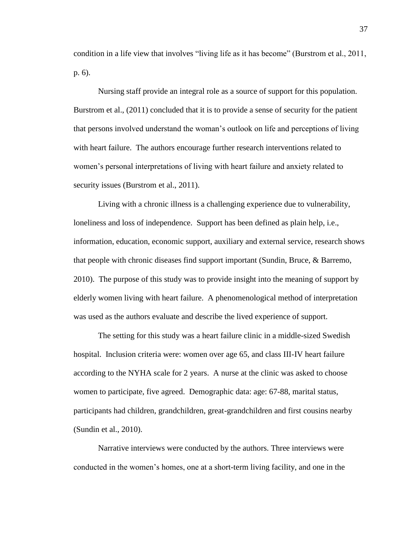condition in a life view that involves "living life as it has become" (Burstrom et al., 2011, p. 6).

Nursing staff provide an integral role as a source of support for this population. Burstrom et al., (2011) concluded that it is to provide a sense of security for the patient that persons involved understand the woman's outlook on life and perceptions of living with heart failure. The authors encourage further research interventions related to women's personal interpretations of living with heart failure and anxiety related to security issues (Burstrom et al., 2011).

Living with a chronic illness is a challenging experience due to vulnerability, loneliness and loss of independence. Support has been defined as plain help, i.e., information, education, economic support, auxiliary and external service, research shows that people with chronic diseases find support important (Sundin, Bruce, & Barremo, 2010). The purpose of this study was to provide insight into the meaning of support by elderly women living with heart failure. A phenomenological method of interpretation was used as the authors evaluate and describe the lived experience of support.

The setting for this study was a heart failure clinic in a middle-sized Swedish hospital. Inclusion criteria were: women over age 65, and class III-IV heart failure according to the NYHA scale for 2 years. A nurse at the clinic was asked to choose women to participate, five agreed. Demographic data: age: 67-88, marital status, participants had children, grandchildren, great-grandchildren and first cousins nearby (Sundin et al., 2010).

Narrative interviews were conducted by the authors. Three interviews were conducted in the women's homes, one at a short-term living facility, and one in the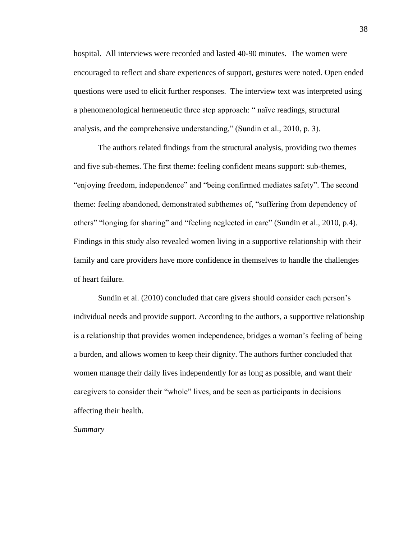hospital. All interviews were recorded and lasted 40-90 minutes. The women were encouraged to reflect and share experiences of support, gestures were noted. Open ended questions were used to elicit further responses. The interview text was interpreted using a phenomenological hermeneutic three step approach: " naïve readings, structural analysis, and the comprehensive understanding," (Sundin et al., 2010, p. 3).

The authors related findings from the structural analysis, providing two themes and five sub-themes. The first theme: feeling confident means support: sub-themes, "enjoying freedom, independence" and "being confirmed mediates safety". The second theme: feeling abandoned, demonstrated subthemes of, "suffering from dependency of others" "longing for sharing" and "feeling neglected in care" (Sundin et al., 2010, p.4). Findings in this study also revealed women living in a supportive relationship with their family and care providers have more confidence in themselves to handle the challenges of heart failure.

Sundin et al. (2010) concluded that care givers should consider each person's individual needs and provide support. According to the authors, a supportive relationship is a relationship that provides women independence, bridges a woman's feeling of being a burden, and allows women to keep their dignity. The authors further concluded that women manage their daily lives independently for as long as possible, and want their caregivers to consider their "whole" lives, and be seen as participants in decisions affecting their health.

<span id="page-41-0"></span>*Summary*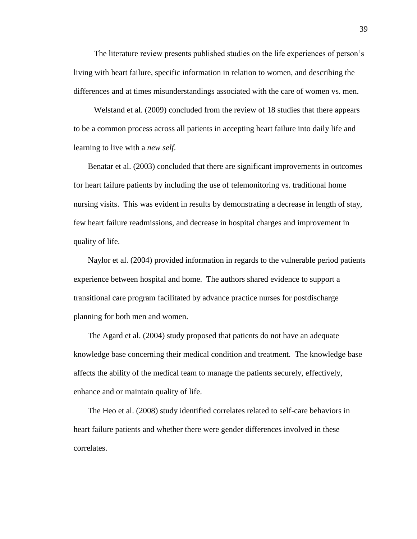The literature review presents published studies on the life experiences of person's living with heart failure, specific information in relation to women, and describing the differences and at times misunderstandings associated with the care of women vs. men.

 Welstand et al. (2009) concluded from the review of 18 studies that there appears to be a common process across all patients in accepting heart failure into daily life and learning to live with a *new self*.

 Benatar et al. (2003) concluded that there are significant improvements in outcomes for heart failure patients by including the use of telemonitoring vs. traditional home nursing visits. This was evident in results by demonstrating a decrease in length of stay, few heart failure readmissions, and decrease in hospital charges and improvement in quality of life.

 Naylor et al. (2004) provided information in regards to the vulnerable period patients experience between hospital and home. The authors shared evidence to support a transitional care program facilitated by advance practice nurses for postdischarge planning for both men and women.

 The Agard et al. (2004) study proposed that patients do not have an adequate knowledge base concerning their medical condition and treatment. The knowledge base affects the ability of the medical team to manage the patients securely, effectively, enhance and or maintain quality of life.

 The Heo et al. (2008) study identified correlates related to self-care behaviors in heart failure patients and whether there were gender differences involved in these correlates.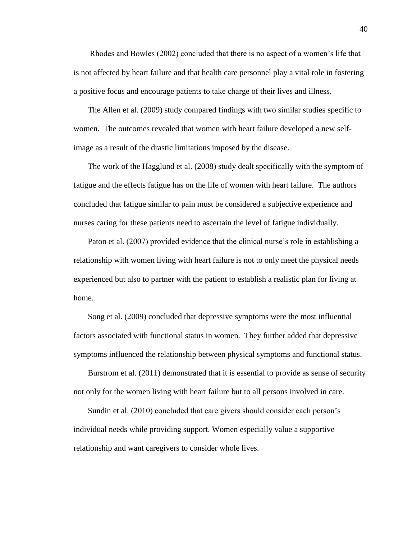Rhodes and Bowles (2002) concluded that there is no aspect of a women's life that is not affected by heart failure and that health care personnel play a vital role in fostering a positive focus and encourage patients to take charge of their lives and illness.

 The Allen et al. (2009) study compared findings with two similar studies specific to women. The outcomes revealed that women with heart failure developed a new selfimage as a result of the drastic limitations imposed by the disease.

 The work of the Hagglund et al. (2008) study dealt specifically with the symptom of fatigue and the effects fatigue has on the life of women with heart failure. The authors concluded that fatigue similar to pain must be considered a subjective experience and nurses caring for these patients need to ascertain the level of fatigue individually.

 Paton et al. (2007) provided evidence that the clinical nurse's role in establishing a relationship with women living with heart failure is not to only meet the physical needs experienced but also to partner with the patient to establish a realistic plan for living at home.

 Song et al. (2009) concluded that depressive symptoms were the most influential factors associated with functional status in women. They further added that depressive symptoms influenced the relationship between physical symptoms and functional status.

 Burstrom et al. (2011) demonstrated that it is essential to provide as sense of security not only for the women living with heart failure but to all persons involved in care.

 Sundin et al. (2010) concluded that care givers should consider each person's individual needs while providing support. Women especially value a supportive relationship and want caregivers to consider whole lives.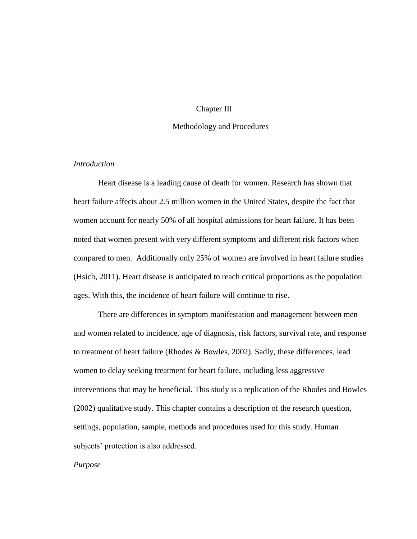# Chapter III

#### Methodology and Procedures

# <span id="page-44-2"></span><span id="page-44-1"></span><span id="page-44-0"></span>*Introduction*

Heart disease is a leading cause of death for women. Research has shown that heart failure affects about 2.5 million women in the United States, despite the fact that women account for nearly 50% of all hospital admissions for heart failure. It has been noted that women present with very different symptoms and different risk factors when compared to men. Additionally only 25% of women are involved in heart failure studies (Hsich, 2011). Heart disease is anticipated to reach critical proportions as the population ages. With this, the incidence of heart failure will continue to rise.

There are differences in symptom manifestation and management between men and women related to incidence, age of diagnosis, risk factors, survival rate, and response to treatment of heart failure (Rhodes & Bowles, 2002). Sadly, these differences, lead women to delay seeking treatment for heart failure, including less aggressive interventions that may be beneficial. This study is a replication of the Rhodes and Bowles (2002) qualitative study. This chapter contains a description of the research question, settings, population, sample, methods and procedures used for this study. Human subjects' protection is also addressed.

<span id="page-44-3"></span>*Purpose*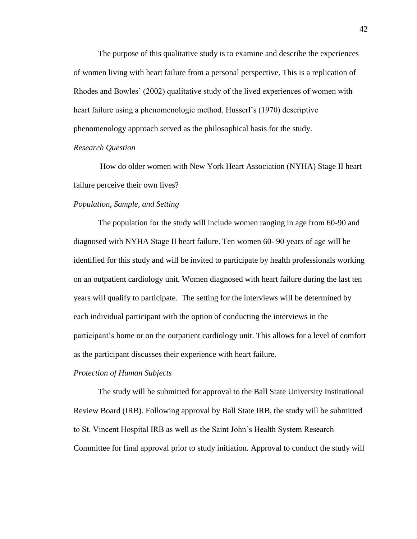The purpose of this qualitative study is to examine and describe the experiences of women living with heart failure from a personal perspective. This is a replication of Rhodes and Bowles' (2002) qualitative study of the lived experiences of women with heart failure using a phenomenologic method. Husserl's (1970) descriptive phenomenology approach served as the philosophical basis for the study.

## <span id="page-45-0"></span>*Research Question*

How do older women with New York Heart Association (NYHA) Stage II heart failure perceive their own lives?

# <span id="page-45-1"></span>*Population, Sample, and Setting*

The population for the study will include women ranging in age from 60-90 and diagnosed with NYHA Stage II heart failure. Ten women 60- 90 years of age will be identified for this study and will be invited to participate by health professionals working on an outpatient cardiology unit. Women diagnosed with heart failure during the last ten years will qualify to participate. The setting for the interviews will be determined by each individual participant with the option of conducting the interviews in the participant's home or on the outpatient cardiology unit. This allows for a level of comfort as the participant discusses their experience with heart failure.

# <span id="page-45-2"></span>*Protection of Human Subjects*

The study will be submitted for approval to the Ball State University Institutional Review Board (IRB). Following approval by Ball State IRB, the study will be submitted to St. Vincent Hospital IRB as well as the Saint John's Health System Research Committee for final approval prior to study initiation. Approval to conduct the study will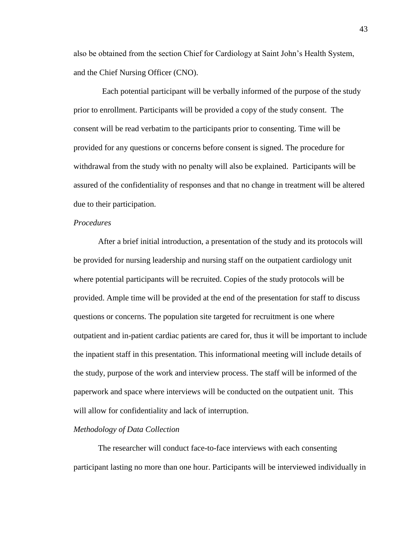also be obtained from the section Chief for Cardiology at Saint John's Health System, and the Chief Nursing Officer (CNO).

 Each potential participant will be verbally informed of the purpose of the study prior to enrollment. Participants will be provided a copy of the study consent. The consent will be read verbatim to the participants prior to consenting. Time will be provided for any questions or concerns before consent is signed. The procedure for withdrawal from the study with no penalty will also be explained. Participants will be assured of the confidentiality of responses and that no change in treatment will be altered due to their participation.

# <span id="page-46-0"></span>*Procedures*

After a brief initial introduction, a presentation of the study and its protocols will be provided for nursing leadership and nursing staff on the outpatient cardiology unit where potential participants will be recruited. Copies of the study protocols will be provided. Ample time will be provided at the end of the presentation for staff to discuss questions or concerns. The population site targeted for recruitment is one where outpatient and in-patient cardiac patients are cared for, thus it will be important to include the inpatient staff in this presentation. This informational meeting will include details of the study, purpose of the work and interview process. The staff will be informed of the paperwork and space where interviews will be conducted on the outpatient unit. This will allow for confidentiality and lack of interruption.

## <span id="page-46-1"></span>*Methodology of Data Collection*

The researcher will conduct face-to-face interviews with each consenting participant lasting no more than one hour. Participants will be interviewed individually in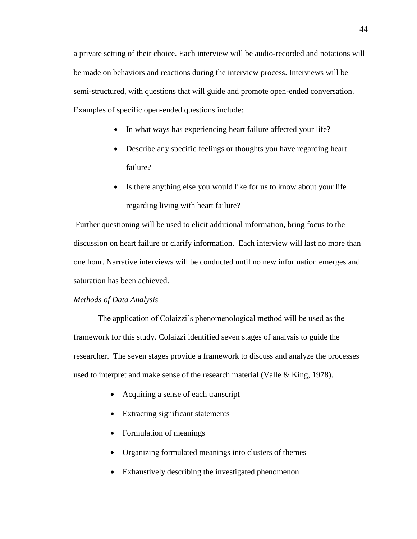a private setting of their choice. Each interview will be audio-recorded and notations will be made on behaviors and reactions during the interview process. Interviews will be semi-structured, with questions that will guide and promote open-ended conversation. Examples of specific open-ended questions include:

- In what ways has experiencing heart failure affected your life?
- Describe any specific feelings or thoughts you have regarding heart failure?
- Is there anything else you would like for us to know about your life regarding living with heart failure?

Further questioning will be used to elicit additional information, bring focus to the discussion on heart failure or clarify information. Each interview will last no more than one hour. Narrative interviews will be conducted until no new information emerges and saturation has been achieved.

# <span id="page-47-0"></span>*Methods of Data Analysis*

The application of Colaizzi's phenomenological method will be used as the framework for this study. Colaizzi identified seven stages of analysis to guide the researcher. The seven stages provide a framework to discuss and analyze the processes used to interpret and make sense of the research material (Valle & King, 1978).

- Acquiring a sense of each transcript
- Extracting significant statements
- Formulation of meanings
- Organizing formulated meanings into clusters of themes
- Exhaustively describing the investigated phenomenon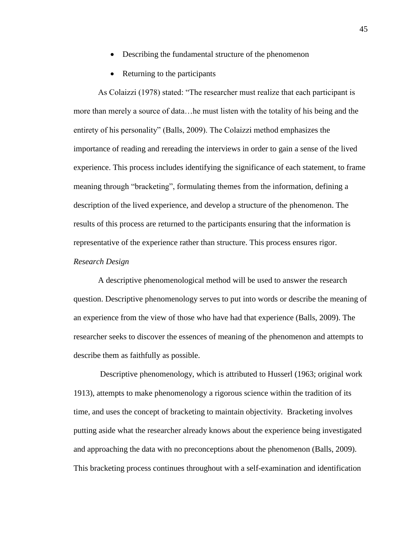- Describing the fundamental structure of the phenomenon
- Returning to the participants

As Colaizzi (1978) stated: "The researcher must realize that each participant is more than merely a source of data…he must listen with the totality of his being and the entirety of his personality" (Balls, 2009). The Colaizzi method emphasizes the importance of reading and rereading the interviews in order to gain a sense of the lived experience. This process includes identifying the significance of each statement, to frame meaning through "bracketing", formulating themes from the information, defining a description of the lived experience, and develop a structure of the phenomenon. The results of this process are returned to the participants ensuring that the information is representative of the experience rather than structure. This process ensures rigor.

# <span id="page-48-0"></span>*Research Design*

A descriptive phenomenological method will be used to answer the research question. Descriptive phenomenology serves to put into words or describe the meaning of an experience from the view of those who have had that experience (Balls, 2009). The researcher seeks to discover the essences of meaning of the phenomenon and attempts to describe them as faithfully as possible.

Descriptive phenomenology, which is attributed to Husserl (1963; original work 1913), attempts to make phenomenology a rigorous science within the tradition of its time, and uses the concept of bracketing to maintain objectivity. Bracketing involves putting aside what the researcher already knows about the experience being investigated and approaching the data with no preconceptions about the phenomenon (Balls, 2009). This bracketing process continues throughout with a self-examination and identification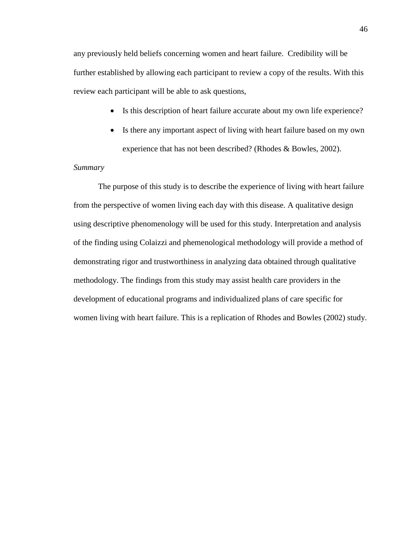any previously held beliefs concerning women and heart failure. Credibility will be further established by allowing each participant to review a copy of the results. With this review each participant will be able to ask questions,

- Is this description of heart failure accurate about my own life experience?
- Is there any important aspect of living with heart failure based on my own experience that has not been described? (Rhodes & Bowles, 2002).

# <span id="page-49-0"></span>*Summary*

The purpose of this study is to describe the experience of living with heart failure from the perspective of women living each day with this disease. A qualitative design using descriptive phenomenology will be used for this study. Interpretation and analysis of the finding using Colaizzi and phemenological methodology will provide a method of demonstrating rigor and trustworthiness in analyzing data obtained through qualitative methodology. The findings from this study may assist health care providers in the development of educational programs and individualized plans of care specific for women living with heart failure. This is a replication of Rhodes and Bowles (2002) study.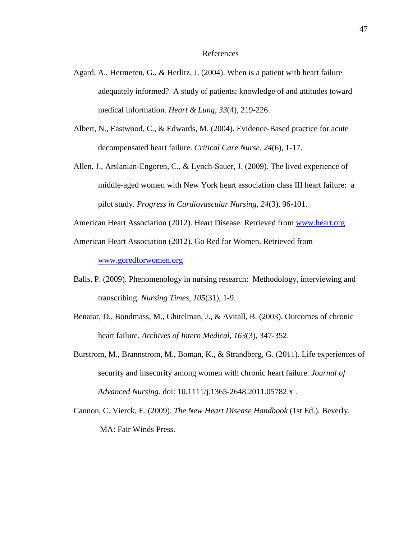#### References

- <span id="page-50-0"></span>Agard, A., Hermeren, G., & Herlitz, J. (2004). When is a patient with heart failure adequately informed? A study of patients; knowledge of and attitudes toward medical information. *Heart & Lung, 33*(4), 219-226.
- Albert, N., Eastwood, C., & Edwards, M. (2004). Evidence-Based practice for acute decompensated heart failure. *Critical Care Nurse, 24*(6), 1-17.
- Allen, J., Arslanian-Engoren, C., & Lynch-Sauer, J. (2009). The lived experience of middle-aged women with New York heart association class III heart failure: a pilot study. *Progress in Cardiovascular Nursing, 24*(3), 96-101.
- American Heart Association (2012). Heart Disease. Retrieved from [www.heart.org](http://www.heart.org/)

American Heart Association (2012). Go Red for Women. Retrieved from

[www.goredforwomen.org](http://www.goredforwomen.org/)

- Balls, P. (2009). Phenomenology in nursing research: Methodology, interviewing and transcribing. *Nursing Times, 105*(31), 1-9.
- Benatar, D., Bondmass, M., Ghitelman, J., & Avitall, B. (2003). Outcomes of chronic heart failure. *Archives of Intern Medical, 163*(3), 347-352.
- Burstrom, M., Brannstrom, M., Boman, K., & Strandberg, G. (2011). Life experiences of security and insecurity among women with chronic heart failure. *Journal of Advanced Nursing*. doi: 10.1111/j.1365-2648.2011.05782.x .
- Cannon, C. Vierck, E. (2009). *The New Heart Disease Handbook* (1st Ed.). Beverly, MA: Fair Winds Press.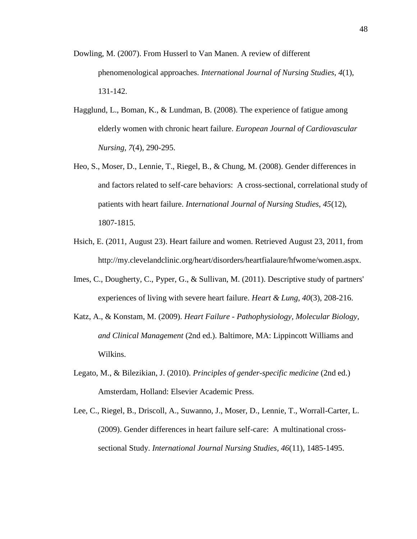- Dowling, M. (2007). From Husserl to Van Manen. A review of different phenomenological approaches. *International Journal of Nursing Studies, 4*(1), 131-142.
- Hagglund, L., Boman, K., & Lundman, B. (2008). The experience of fatigue among elderly women with chronic heart failure. *European Journal of Cardiovascular Nursing, 7*(4), 290-295.
- Heo, S., Moser, D., Lennie, T., Riegel, B., & Chung, M. (2008). Gender differences in and factors related to self-care behaviors: A cross-sectional, correlational study of patients with heart failure. *International Journal of Nursing Studies, 45*(12), 1807-1815.
- Hsich, E. (2011, August 23). Heart failure and women. Retrieved August 23, 2011, from http://my.clevelandclinic.org/heart/disorders/heartfialaure/hfwome/women.aspx.
- Imes, C., Dougherty, C., Pyper, G., & Sullivan, M. (2011). Descriptive study of partners' experiences of living with severe heart failure. *Heart & Lung, 40*(3), 208-216.
- Katz, A., & Konstam, M. (2009). *Heart Failure - Pathophysiology, Molecular Biology, and Clinical Management* (2nd ed.). Baltimore, MA: Lippincott Williams and Wilkins.
- Legato, M., & Bilezikian, J. (2010). *Principles of gender-specific medicine* (2nd ed.) Amsterdam, Holland: Elsevier Academic Press.
- Lee, C., Riegel, B., Driscoll, A., Suwanno, J., Moser, D., Lennie, T., Worrall-Carter, L. (2009). Gender differences in heart failure self-care: A multinational crosssectional Study. *International Journal Nursing Studies, 46*(11), 1485-1495.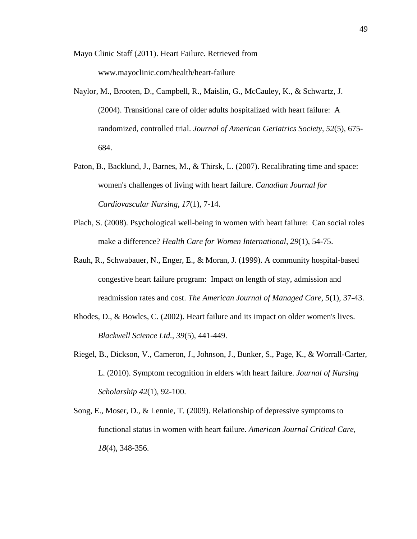Mayo Clinic Staff (2011). Heart Failure. Retrieved from www.mayoclinic.com/health/heart-failure

- Naylor, M., Brooten, D., Campbell, R., Maislin, G., McCauley, K., & Schwartz, J. (2004). Transitional care of older adults hospitalized with heart failure: A randomized, controlled trial. *Journal of American Geriatrics Society, 52*(5), 675- 684.
- Paton, B., Backlund, J., Barnes, M., & Thirsk, L. (2007). Recalibrating time and space: women's challenges of living with heart failure. *Canadian Journal for Cardiovascular Nursing, 17*(1), 7-14.
- Plach, S. (2008). Psychological well-being in women with heart failure: Can social roles make a difference? *Health Care for Women International, 29*(1), 54-75.
- Rauh, R., Schwabauer, N., Enger, E., & Moran, J. (1999). A community hospital-based congestive heart failure program: Impact on length of stay, admission and readmission rates and cost. *The American Journal of Managed Care, 5*(1), 37-43.
- Rhodes, D., & Bowles, C. (2002). Heart failure and its impact on older women's lives. *Blackwell Science Ltd., 39*(5), 441-449.
- Riegel, B., Dickson, V., Cameron, J., Johnson, J., Bunker, S., Page, K., & Worrall-Carter, L. (2010). Symptom recognition in elders with heart failure. *Journal of Nursing Scholarship 42*(1), 92-100.
- Song, E., Moser, D., & Lennie, T. (2009). Relationship of depressive symptoms to functional status in women with heart failure. *American Journal Critical Care, 18*(4), 348-356.